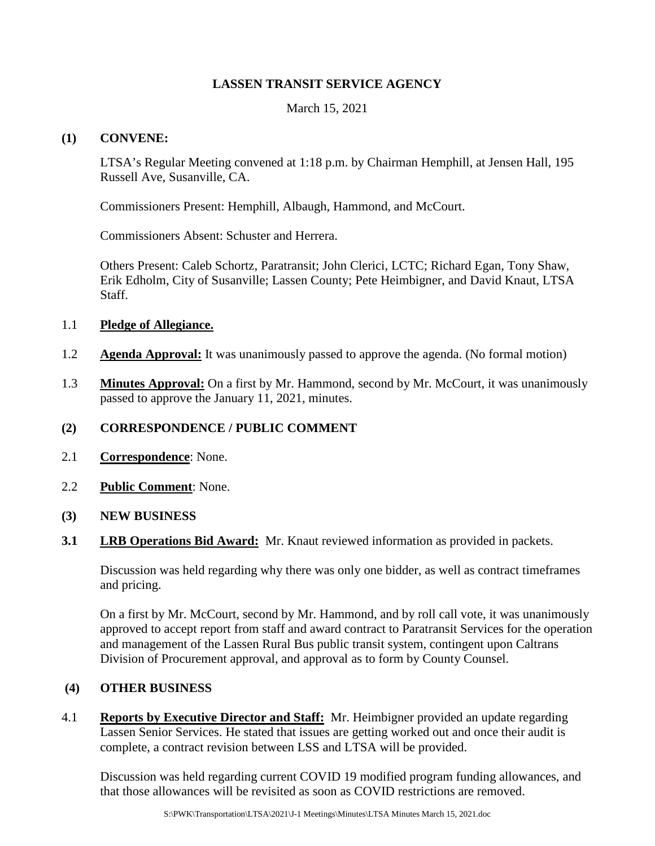### **LASSEN TRANSIT SERVICE AGENCY**

March 15, 2021

#### **(1) CONVENE:**

LTSA's Regular Meeting convened at 1:18 p.m. by Chairman Hemphill, at Jensen Hall, 195 Russell Ave, Susanville, CA.

Commissioners Present: Hemphill, Albaugh, Hammond, and McCourt.

Commissioners Absent: Schuster and Herrera.

Others Present: Caleb Schortz, Paratransit; John Clerici, LCTC; Richard Egan, Tony Shaw, Erik Edholm, City of Susanville; Lassen County; Pete Heimbigner, and David Knaut, LTSA Staff.

#### 1.1 **Pledge of Allegiance.**

- 1.2 **Agenda Approval:** It was unanimously passed to approve the agenda. (No formal motion)
- 1.3 **Minutes Approval:** On a first by Mr. Hammond, second by Mr. McCourt, it was unanimously passed to approve the January 11, 2021, minutes.

### **(2) CORRESPONDENCE / PUBLIC COMMENT**

- 2.1 **Correspondence**: None.
- 2.2 **Public Comment**: None.
- **(3) NEW BUSINESS**
- **3.1 LRB Operations Bid Award:** Mr. Knaut reviewed information as provided in packets.

Discussion was held regarding why there was only one bidder, as well as contract timeframes and pricing.

On a first by Mr. McCourt, second by Mr. Hammond, and by roll call vote, it was unanimously approved to accept report from staff and award contract to Paratransit Services for the operation and management of the Lassen Rural Bus public transit system, contingent upon Caltrans Division of Procurement approval, and approval as to form by County Counsel.

### **(4) OTHER BUSINESS**

4.1 **Reports by Executive Director and Staff:** Mr. Heimbigner provided an update regarding Lassen Senior Services. He stated that issues are getting worked out and once their audit is complete, a contract revision between LSS and LTSA will be provided.

Discussion was held regarding current COVID 19 modified program funding allowances, and that those allowances will be revisited as soon as COVID restrictions are removed.